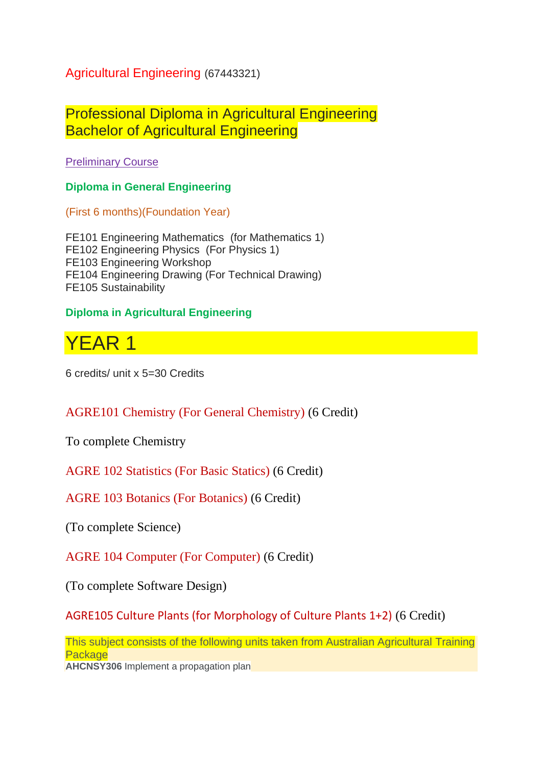Agricultural Engineering (67443321)

Professional Diploma in Agricultural Engineering Bachelor of Agricultural Engineering

Preliminary Course

**Diploma in General Engineering**

(First 6 months)(Foundation Year)

FE101 Engineering Mathematics (for Mathematics 1) FE102 Engineering Physics (For Physics 1) FE103 Engineering Workshop FE104 Engineering Drawing (For Technical Drawing) FE105 Sustainability

## **Diploma in Agricultural Engineering**



6 credits/ unit x 5=30 Credits

## AGRE101 Chemistry (For General Chemistry) (6 Credit)

To complete Chemistry

AGRE 102 Statistics (For Basic Statics) (6 Credit)

AGRE 103 Botanics (For Botanics) (6 Credit)

(To complete Science)

AGRE 104 Computer (For Computer) (6 Credit)

(To complete Software Design)

AGRE105 Culture Plants (for Morphology of Culture Plants 1+2) (6 Credit)

This subject consists of the following units taken from Australian Agricultural Training **Package** 

**AHCNSY306** Implement a propagation plan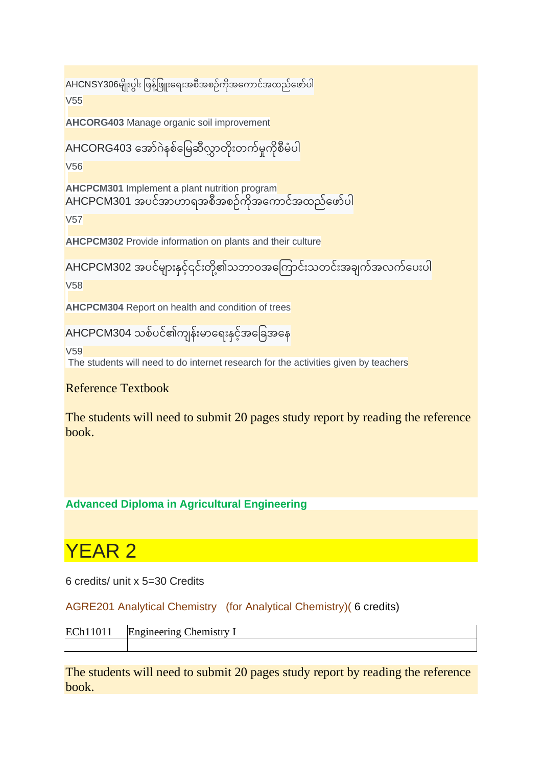```
AHCNSY306မျိုးပွါး ဖြန့်ဖြူးရေးအစီအစဉ်ကိုအကောင်အထည်ဖော်ပါ
V55
```
**AHCORG403** Manage organic soil improvement

AHCORG403 အော်ဂဲနစ်မြေဆီလွှာတိုးတက်မှုကိုစီမံပါ

V56

**AHCPCM301** Implement a plant nutrition program AHCPCM301 အပင်အာဟာရအစီအစဉ်ကိုအကောင်အထည်ဖော်ပါ

V57

**AHCPCM302** Provide information on plants and their culture

```
AHCPCM302 အပင်များနှင့်၎င်းတို့၏သဘာဝအကြောင်းသတင်းအချက်အလက်ပေးပါ
V58
```
**AHCPCM304** Report on health and condition of trees

```
AHCPCM304 သစ်ပင်၏ကျန်းမာရေးနှင့်အခြေအနေ
```
V59 The students will need to do internet research for the activities given by teachers

Reference Textbook

The students will need to submit 20 pages study report by reading the reference book.

**Advanced Diploma in Agricultural Engineering** 

# YEAR 2

6 credits/ unit x 5=30 Credits

AGRE201 Analytical Chemistry (for Analytical Chemistry)( 6 credits)

```
ECh11011 Engineering Chemistry I
```
The students will need to submit 20 pages study report by reading the reference book.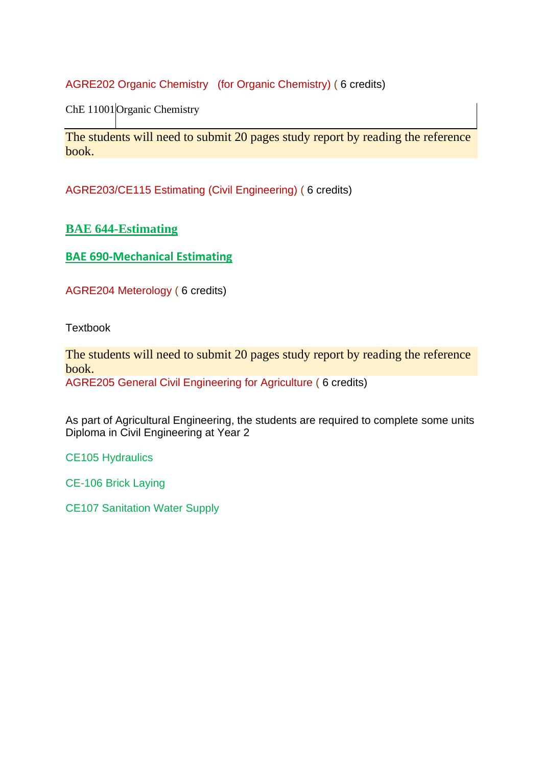AGRE202 Organic Chemistry (for Organic Chemistry) ( 6 credits)

ChE 11001 Organic Chemistry

The students will need to submit 20 pages study report by reading the reference book.

AGRE203/CE115 Estimating (Civil Engineering) ( 6 credits)

## **[BAE 644-Estimating](http://www.iqytechnicalcollege.com/BAE644%20Estimating.pdf)**

**[BAE 690-Mechanical Estimating](http://www.iqytechnicalcollege.com/BAE644%20Mechanical%20Estimating.pdf)**

AGRE204 Meterology ( 6 credits)

**Textbook** 

The students will need to submit 20 pages study report by reading the reference book.

AGRE205 General Civil Engineering for Agriculture ( 6 credits)

As part of Agricultural Engineering, the students are required to complete some units Diploma in Civil Engineering at Year 2

CE105 Hydraulics

CE-106 Brick Laying

CE107 Sanitation Water Supply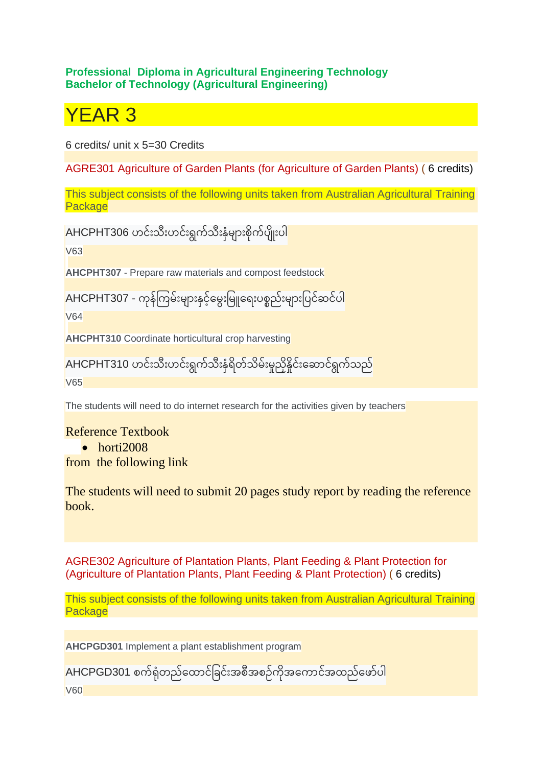#### **Professional Diploma in Agricultural Engineering Technology Bachelor of Technology (Agricultural Engineering)**

# YEAR 3

6 credits/ unit x 5=30 Credits

AGRE301 Agriculture of Garden Plants (for Agriculture of Garden Plants) ( 6 credits)

This subject consists of the following units taken from Australian Agricultural Training **Package** 

AHCPHT306 ဟင်းသီးဟင်းရွက်သီးနှံများစိုက်ပျိုးပါ

V63

**AHCPHT307** - Prepare raw materials and compost feedstock

AHCPHT307 - ကနို ့် ကြေ ့် ြူးြေ ောြူးနင ှ ရြေွြူးဖြေ ရ ြူးပစစည့်ြူးြေ ောြူးဖပင့်ဆင့်ပါ ့်

V64

**AHCPHT310** Coordinate horticultural crop harvesting

AHCPHT310 ဟင်းသီးဟင်းရွက်သီးနှံရိတ်သိမ်းမှုညှိနိူင်းဆောင်ရွက်သည် V65

The students will need to do internet research for the activities given by teachers

#### Reference Textbook

• horti2008

from the following link

The students will need to submit 20 pages study report by reading the reference book.

AGRE302 Agriculture of Plantation Plants, Plant Feeding & Plant Protection for (Agriculture of Plantation Plants, Plant Feeding & Plant Protection) ( 6 credits)

This subject consists of the following units taken from Australian Agricultural Training **Package** 

**AHCPGD301** Implement a plant establishment program

AHCPGD301 စက်ရုံတည်ထောင်ခြင်းအစီအစဉ်ကိုအကောင်အထည်ဖော်ပါ

V60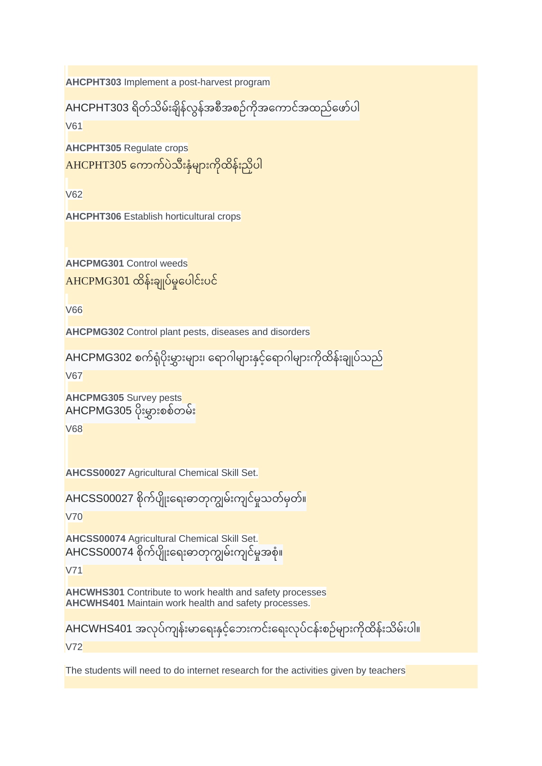```
AHCPHT303 Implement a post-harvest program
```

```
AHCPHT303 ရိတ်သိမ်းချိန်လွန်အစီအစဉ်ကိုအကောင်အထည်ဖော်ပါ
```
V61

**AHCPHT305** Regulate crops

```
AHCPHT305 ကောက်ပဲသီးနှံများကိုထိန်းညှိပ
                                                 \overline{\phantom{a}}
```
V62

**AHCPHT306** Establish horticultural crops

**AHCPMG301** Control weeds  $AHCPMG301$  ထိန်းချုပ်မှုပေါင်းပင်

V66

**AHCPMG302** Control plant pests, diseases and disorders

```
AHCPMG302 စက်ရုံပိုးမွှားများ၊ ရောဂါများနှင့်ရောဂါများကိုထိန်းချုပ်သည်
```
V67

```
AHCPMG305 Survey pests
AHCPMG305 ပိုးမွှားစစ်တမ်း
```
V68

**AHCSS00027** Agricultural Chemical Skill Set.

AHCSS00027 စိုက်ပျိုးရေးဓာတုကျွမ်းကျင်မှုသတ်မှတ်။

V70

**AHCSS00074** Agricultural Chemical Skill Set. AHCSS00074 စိုက်ပျိုးရေးဓာတုကျွမ်းကျင်မှုအစုံ။

V71

**AHCWHS301** Contribute to work health and safety processes **AHCWHS401** Maintain work health and safety processes.

AHCWHS401 အလုပ်ကျန်းမာရေးနှင့်ဘေးကင်းရေးလုပ်ငန်းစဉ်များကိုထိန်းသိမ်းပါ။  $\overline{\phantom{a}}$ 

V72

The students will need to do internet research for the activities given by teachers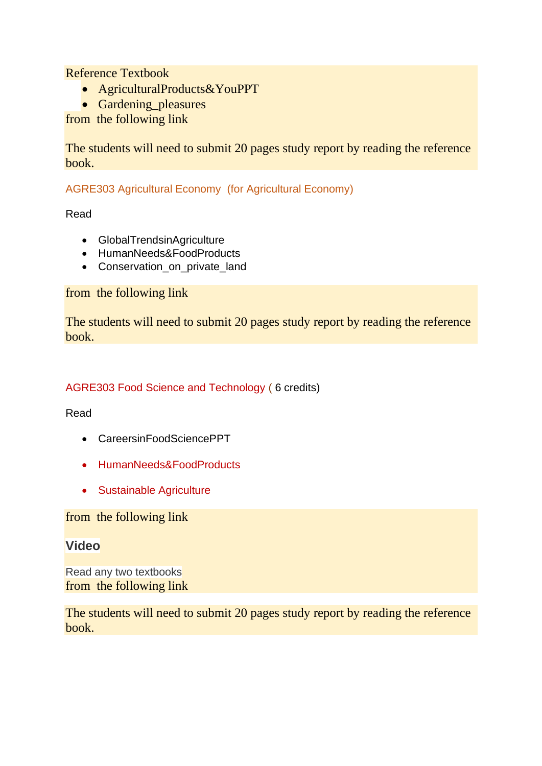Reference Textbook

- AgriculturalProducts&YouPPT
- Gardening pleasures

from the following link

The students will need to submit 20 pages study report by reading the reference book.

AGRE303 Agricultural Economy (for Agricultural Economy)

Read

- GlobalTrendsinAgriculture
- HumanNeeds&FoodProducts
- Conservation\_on\_private\_land

from the following link

The students will need to submit 20 pages study report by reading the reference book.

#### AGRE303 Food Science and Technology ( 6 credits)

Read

- CareersinFoodSciencePPT
- HumanNeeds&FoodProducts
- Sustainable Agriculture

from the following link

## **Video**

Read any two textbooks from the following link

The students will need to submit 20 pages study report by reading the reference book.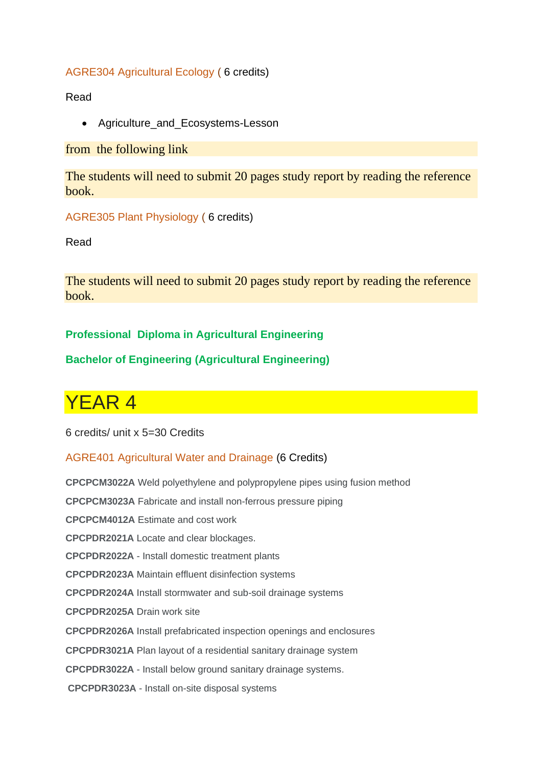#### AGRE304 Agricultural Ecology ( 6 credits)

Read

• Agriculture\_and\_Ecosystems-Lesson

from the following link

The students will need to submit 20 pages study report by reading the reference book.

AGRE305 Plant Physiology ( 6 credits)

Read

The students will need to submit 20 pages study report by reading the reference book.

## **Professional Diploma in Agricultural Engineering**

## **Bachelor of Engineering (Agricultural Engineering)**

## YEAR 4

6 credits/ unit x 5=30 Credits

#### AGRE401 Agricultural Water and Drainage (6 Credits)

**CPCPCM3022A** Weld polyethylene and polypropylene pipes using fusion method **CPCPCM3023A** Fabricate and install non-ferrous pressure piping **CPCPCM4012A** Estimate and cost work **CPCPDR2021A** Locate and clear blockages. **CPCPDR2022A** - Install domestic treatment plants **CPCPDR2023A** Maintain effluent disinfection systems **CPCPDR2024A** Install stormwater and sub-soil drainage systems **CPCPDR2025A** Drain work site **CPCPDR2026A** Install prefabricated inspection openings and enclosures **CPCPDR3021A** Plan layout of a residential sanitary drainage system **CPCPDR3022A** - Install below ground sanitary drainage systems. **CPCPDR3023A** - Install on-site disposal systems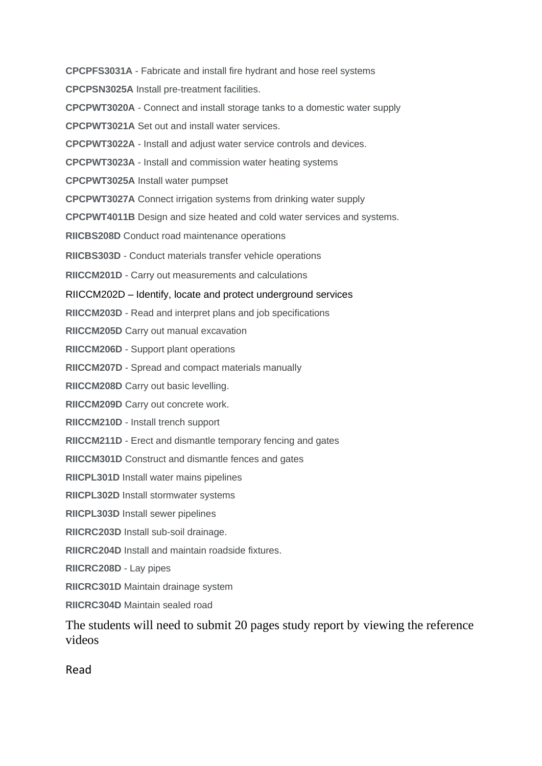**CPCPFS3031A** - Fabricate and install fire hydrant and hose reel systems **CPCPSN3025A** Install pre-treatment facilities. **CPCPWT3020A** - Connect and install storage tanks to a domestic water supply **CPCPWT3021A** Set out and install water services. **CPCPWT3022A** - Install and adjust water service controls and devices. **CPCPWT3023A** - Install and commission water heating systems **CPCPWT3025A** Install water pumpset **CPCPWT3027A** Connect irrigation systems from drinking water supply **CPCPWT4011B** Design and size heated and cold water services and systems. **RIICBS208D** Conduct road maintenance operations **RIICBS303D** - Conduct materials transfer vehicle operations **RIICCM201D** - Carry out measurements and calculations RIICCM202D – Identify, locate and protect underground services **RIICCM203D** - Read and interpret plans and job specifications **RIICCM205D** Carry out manual excavation **RIICCM206D** - Support plant operations **RIICCM207D** - Spread and compact materials manually **RIICCM208D** Carry out basic levelling. **RIICCM209D** Carry out concrete work. **RIICCM210D** - Install trench support **RIICCM211D** - Erect and dismantle temporary fencing and gates **RIICCM301D** Construct and dismantle fences and gates **RIICPL301D** Install water mains pipelines **RIICPL302D** Install stormwater systems **RIICPL303D** Install sewer pipelines **RIICRC203D** Install sub-soil drainage. **RIICRC204D** Install and maintain roadside fixtures. **RIICRC208D** - Lay pipes **RIICRC301D** Maintain drainage system **RIICRC304D** Maintain sealed road The students will need to submit 20 pages study report by viewing the reference videos

Read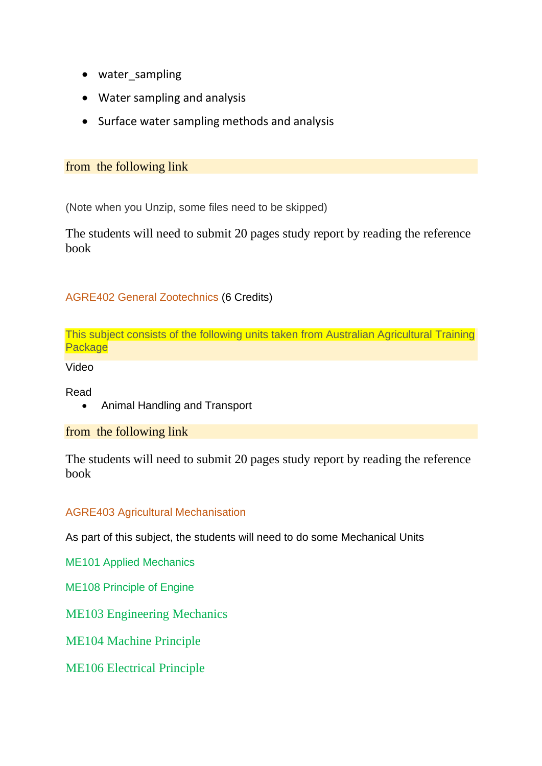- water sampling
- Water sampling and analysis
- Surface water sampling methods and analysis

#### from the following link

(Note when you Unzip, some files need to be skipped)

The students will need to submit 20 pages study report by reading the reference book

## AGRE402 General Zootechnics (6 Credits)

This subject consists of the following units taken from Australian Agricultural Training **Package** 

Video

Read

• Animal Handling and Transport

#### from the following link

The students will need to submit 20 pages study report by reading the reference book

#### AGRE403 Agricultural Mechanisation

As part of this subject, the students will need to do some Mechanical Units

ME101 Applied Mechanics

ME108 Principle of Engine

ME103 Engineering Mechanics

ME104 Machine Principle

ME106 Electrical Principle